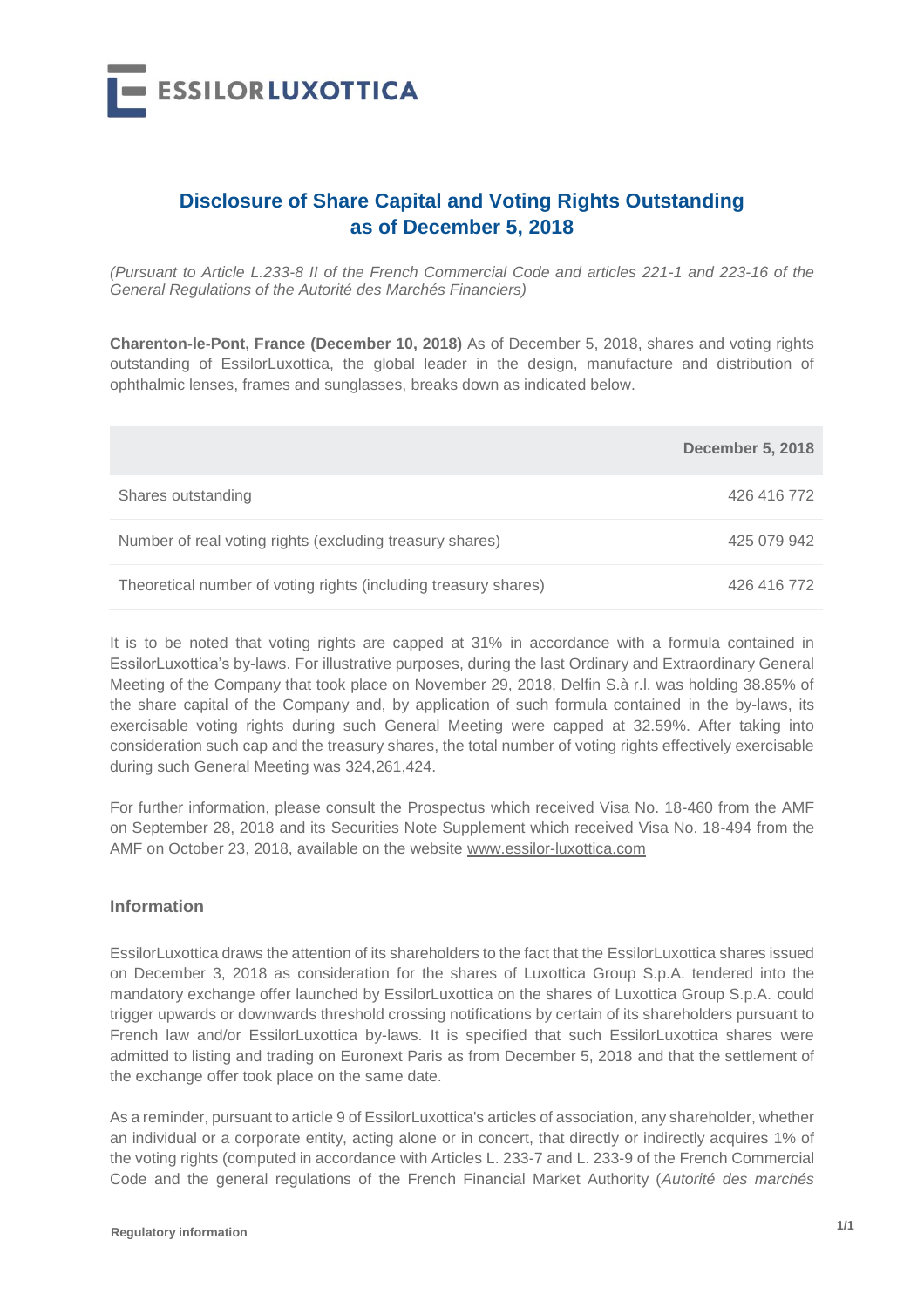

## **Disclosure of Share Capital and Voting Rights Outstanding as of December 5, 2018**

*(Pursuant to Article L.233-8 II of the French Commercial Code and articles 221-1 and 223-16 of the General Regulations of the Autorité des Marchés Financiers)*

**Charenton-le-Pont, France (December 10, 2018)** As of December 5, 2018, shares and voting rights outstanding of EssilorLuxottica, the global leader in the design, manufacture and distribution of ophthalmic lenses, frames and sunglasses, breaks down as indicated below.

|                                                                 | <b>December 5, 2018</b> |
|-----------------------------------------------------------------|-------------------------|
| Shares outstanding                                              | 426 416 772             |
| Number of real voting rights (excluding treasury shares)        | 425 079 942             |
| Theoretical number of voting rights (including treasury shares) | 426 416 772             |

It is to be noted that voting rights are capped at 31% in accordance with a formula contained in EssilorLuxottica's by-laws. For illustrative purposes, during the last Ordinary and Extraordinary General Meeting of the Company that took place on November 29, 2018, Delfin S.à r.l. was holding 38.85% of the share capital of the Company and, by application of such formula contained in the by-laws, its exercisable voting rights during such General Meeting were capped at 32.59%. After taking into consideration such cap and the treasury shares, the total number of voting rights effectively exercisable during such General Meeting was 324,261,424.

For further information, please consult the Prospectus which received Visa No. 18-460 from the AMF on September 28, 2018 and its Securities Note Supplement which received Visa No. 18-494 from the AMF on October 23, 2018, available on the website www.essilor-luxottica.com

## **Information**

EssilorLuxottica draws the attention of its shareholders to the fact that the EssilorLuxottica shares issued on December 3, 2018 as consideration for the shares of Luxottica Group S.p.A. tendered into the mandatory exchange offer launched by EssilorLuxottica on the shares of Luxottica Group S.p.A. could trigger upwards or downwards threshold crossing notifications by certain of its shareholders pursuant to French law and/or EssilorLuxottica by-laws. It is specified that such EssilorLuxottica shares were admitted to listing and trading on Euronext Paris as from December 5, 2018 and that the settlement of the exchange offer took place on the same date.

As a reminder, pursuant to article 9 of EssilorLuxottica's articles of association, any shareholder, whether an individual or a corporate entity, acting alone or in concert, that directly or indirectly acquires 1% of the voting rights (computed in accordance with Articles L. 233-7 and L. 233-9 of the French Commercial Code and the general regulations of the French Financial Market Authority (*Autorité des marchés*